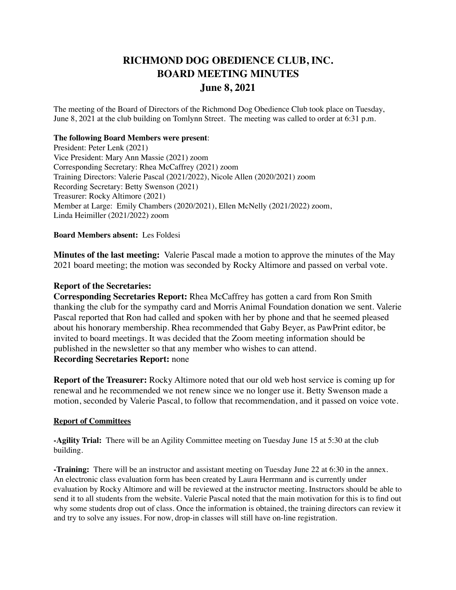# **RICHMOND DOG OBEDIENCE CLUB, INC. BOARD MEETING MINUTES June 8, 2021**

The meeting of the Board of Directors of the Richmond Dog Obedience Club took place on Tuesday, June 8, 2021 at the club building on Tomlynn Street. The meeting was called to order at 6:31 p.m.

## **The following Board Members were present**:

President: Peter Lenk (2021) Vice President: Mary Ann Massie (2021) zoom Corresponding Secretary: Rhea McCaffrey (2021) zoom Training Directors: Valerie Pascal (2021/2022), Nicole Allen (2020/2021) zoom Recording Secretary: Betty Swenson (2021) Treasurer: Rocky Altimore (2021) Member at Large: Emily Chambers (2020/2021), Ellen McNelly (2021/2022) zoom, Linda Heimiller (2021/2022) zoom

## **Board Members absent:** Les Foldesi

**Minutes of the last meeting:** Valerie Pascal made a motion to approve the minutes of the May 2021 board meeting; the motion was seconded by Rocky Altimore and passed on verbal vote.

## **Report of the Secretaries:**

**Corresponding Secretaries Report:** Rhea McCaffrey has gotten a card from Ron Smith thanking the club for the sympathy card and Morris Animal Foundation donation we sent. Valerie Pascal reported that Ron had called and spoken with her by phone and that he seemed pleased about his honorary membership. Rhea recommended that Gaby Beyer, as PawPrint editor, be invited to board meetings. It was decided that the Zoom meeting information should be published in the newsletter so that any member who wishes to can attend. **Recording Secretaries Report:** none

**Report of the Treasurer:** Rocky Altimore noted that our old web host service is coming up for renewal and he recommended we not renew since we no longer use it. Betty Swenson made a motion, seconded by Valerie Pascal, to follow that recommendation, and it passed on voice vote.

## **Report of Committees**

**-Agility Trial:** There will be an Agility Committee meeting on Tuesday June 15 at 5:30 at the club building.

**-Training:** There will be an instructor and assistant meeting on Tuesday June 22 at 6:30 in the annex. An electronic class evaluation form has been created by Laura Herrmann and is currently under evaluation by Rocky Altimore and will be reviewed at the instructor meeting. Instructors should be able to send it to all students from the website. Valerie Pascal noted that the main motivation for this is to find out why some students drop out of class. Once the information is obtained, the training directors can review it and try to solve any issues. For now, drop-in classes will still have on-line registration.